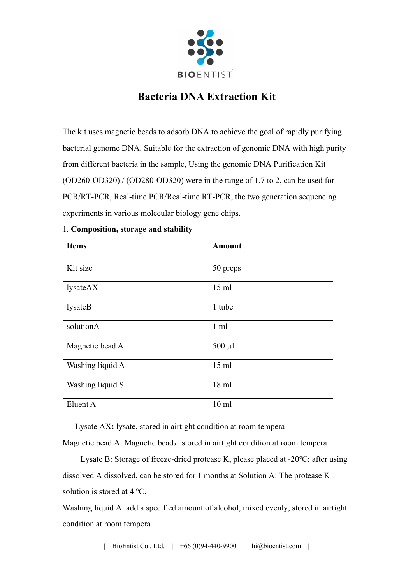

## **Bacteria DNA Extraction Kit**

The kit uses magnetic beads to adsorb DNA to achieve the goal of rapidly purifying bacterial genome DNA. Suitable for the extraction of genomic DNA with high purity from different bacteria in the sample, Using the genomic DNA Purification Kit (OD260-OD320) / (OD280-OD320) were in the range of 1.7 to 2, can be used for PCR/RT-PCR, Real-time PCR/Real-time RT-PCR, the two generation sequencing experiments in various molecular biology gene chips.

| <b>Items</b>     | <b>Amount</b>    |
|------------------|------------------|
| Kit size         | 50 preps         |
| lysateAX         | $15$ ml          |
| lysateB          | 1 tube           |
| solutionA        | $1 \text{ ml}$   |
| Magnetic bead A  | $500 \mu l$      |
| Washing liquid A | $15$ ml          |
| Washing liquid S | $18$ ml          |
| Eluent A         | 10 <sub>ml</sub> |

## 1. **Composition, storage and stability**

Lysate AX**:** lysate, stored in airtight condition at room tempera

Magnetic bead A: Magnetic bead, stored in airtight condition at room tempera

Lysate B: Storage of freeze-dried protease K, please placed at -20℃; after using dissolved A dissolved, can be stored for 1 months at Solution A: The protease K solution is stored at 4 ℃.

Washing liquid A: add a specified amount of alcohol, mixed evenly, stored in airtight condition at room tempera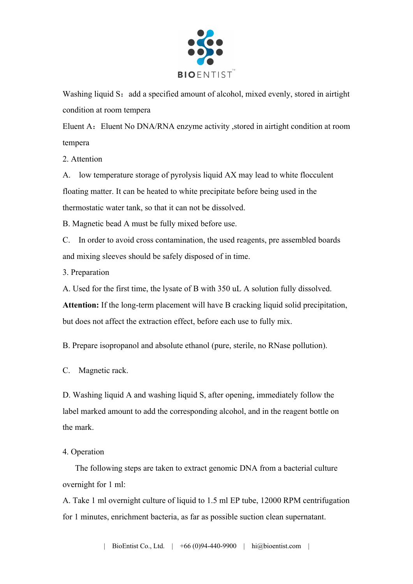

Washing liquid S: add a specified amount of alcohol, mixed evenly, stored in airtight condition at room tempera

Eluent A:Eluent No DNA/RNA enzyme activity ,stored in airtight condition at room tempera

2. Attention

A. low temperature storage of pyrolysis liquid AX may lead to white flocculent floating matter. It can be heated to white precipitate before being used in the thermostatic water tank, so that it can not be dissolved.

B. Magnetic bead A must be fully mixed before use.

C. In order to avoid cross contamination, the used reagents, pre assembled boards and mixing sleeves should be safely disposed of in time.

3. Preparation

A. Used for the first time, the lysate of B with 350 uL A solution fully dissolved. **Attention:** If the long-term placement will have B cracking liquid solid precipitation, but does not affect the extraction effect, before each use to fully mix.

B. Prepare isopropanol and absolute ethanol (pure, sterile, no RNase pollution).

C. Magnetic rack.

D. Washing liquid A and washing liquid S, after opening, immediately follow the label marked amount to add the corresponding alcohol, and in the reagent bottle on the mark.

4. Operation

 The following steps are taken to extract genomic DNA from a bacterial culture overnight for 1 ml:

A. Take 1 ml overnight culture of liquid to 1.5 ml EP tube, 12000 RPM centrifugation for 1 minutes, enrichment bacteria, as far as possible suction clean supernatant.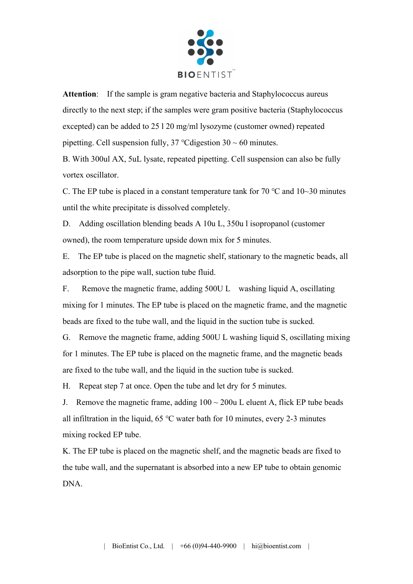

**Attention**: If the sample is gram negative bacteria and Staphylococcus aureus directly to the next step; if the samples were gram positive bacteria (Staphylococcus excepted) can be added to 25 l 20 mg/ml lysozyme (customer owned) repeated pipetting. Cell suspension fully, 37 °C digestion  $30 \sim 60$  minutes.

B. With 300ul AX, 5uL lysate, repeated pipetting. Cell suspension can also be fully vortex oscillator.

C. The EP tube is placed in a constant temperature tank for 70  $\degree$ C and 10~30 minutes until the white precipitate is dissolved completely.

D. Adding oscillation blending beads A 10u L, 350u l isopropanol (customer owned), the room temperature upside down mix for 5 minutes.

E. The EP tube is placed on the magnetic shelf, stationary to the magnetic beads, all adsorption to the pipe wall, suction tube fluid.

F. Remove the magnetic frame, adding 500U L washing liquid A, oscillating mixing for 1 minutes. The EP tube is placed on the magnetic frame, and the magnetic beads are fixed to the tube wall, and the liquid in the suction tube is sucked.

G. Remove the magnetic frame, adding 500U L washing liquid S, oscillating mixing for 1 minutes. The EP tube is placed on the magnetic frame, and the magnetic beads are fixed to the tube wall, and the liquid in the suction tube is sucked.

H. Repeat step 7 at once. Open the tube and let dry for 5 minutes.

J. Remove the magnetic frame, adding  $100 \sim 200$ u L eluent A, flick EP tube beads all infiltration in the liquid, 65 ℃ water bath for 10 minutes, every 2-3 minutes mixing rocked EP tube.

K. The EP tube is placed on the magnetic shelf, and the magnetic beads are fixed to the tube wall, and the supernatant is absorbed into a new EP tube to obtain genomic DNA.